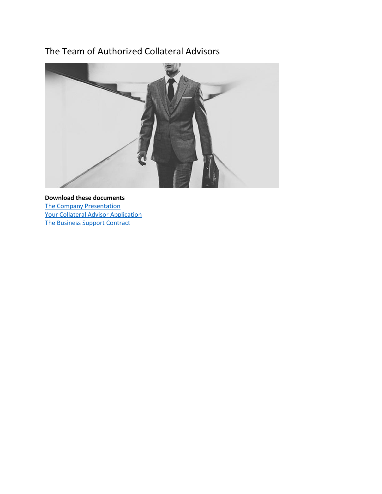# The Team of Authorized Collateral Advisors



**Download these documents** [The Company Presentation](https://elitespv.com/wp-content/uploads/2022/04/1.0-SFS-Selective-Financial-Services-The-Company-Presentation.pdf) [Your Collateral Advisor Application](https://elitespv.com/wp-content/uploads/2022/04/2022-AUTHORIZED-COLLATERAL-ADVISOR-Application-Form.docx) [The Business Support Contract](https://elitespv.com/wp-content/uploads/2022/01/BUSINESS-SUPPORT-CONTRACT-2022.docx)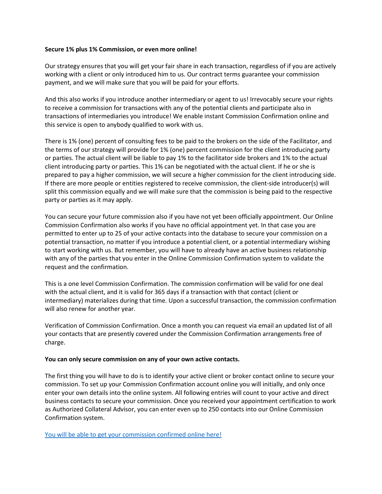# **Secure 1% plus 1% Commission, or even more online!**

Our strategy ensures that you will get your fair share in each transaction, regardless of if you are actively working with a client or only introduced him to us. Our contract terms guarantee your commission payment, and we will make sure that you will be paid for your efforts.

And this also works if you introduce another intermediary or agent to us! Irrevocably secure your rights to receive a commission for transactions with any of the potential clients and participate also in transactions of intermediaries you introduce! We enable instant Commission Confirmation online and this service is open to anybody qualified to work with us.

There is 1% (one) percent of consulting fees to be paid to the brokers on the side of the Facilitator, and the terms of our strategy will provide for 1% (one) percent commission for the client introducing party or parties. The actual client will be liable to pay 1% to the facilitator side brokers and 1% to the actual client introducing party or parties. This 1% can be negotiated with the actual client. If he or she is prepared to pay a higher commission, we will secure a higher commission for the client introducing side. If there are more people or entities registered to receive commission, the client-side introducer(s) will split this commission equally and we will make sure that the commission is being paid to the respective party or parties as it may apply.

You can secure your future commission also if you have not yet been officially appointment. Our Online Commission Confirmation also works if you have no official appointment yet. In that case you are permitted to enter up to 25 of your active contacts into the database to secure your commission on a potential transaction, no matter if you introduce a potential client, or a potential intermediary wishing to start working with us. But remember, you will have to already have an active business relationship with any of the parties that you enter in the Online Commission Confirmation system to validate the request and the confirmation.

This is a one level Commission Confirmation. The commission confirmation will be valid for one deal with the actual client, and it is valid for 365 days if a transaction with that contact (client or intermediary) materializes during that time. Upon a successful transaction, the commission confirmation will also renew for another year.

Verification of Commission Confirmation. Once a month you can request via email an updated list of all your contacts that are presently covered under the Commission Confirmation arrangements free of charge.

### **You can only secure commission on any of your own active contacts.**

The first thing you will have to do is to identify your active client or broker contact online to secure your commission. To set up your Commission Confirmation account online you will initially, and only once enter your own details into the online system. All following entries will count to your active and direct business contacts to secure your commission. Once you received your appointment certification to work as Authorized Collateral Advisor, you can enter even up to 250 contacts into our Online Commission Confirmation system.

[You will be able to get your commission confirmed online here!](https://elitespv.com/get-your-online-commission-confirmation-here/)